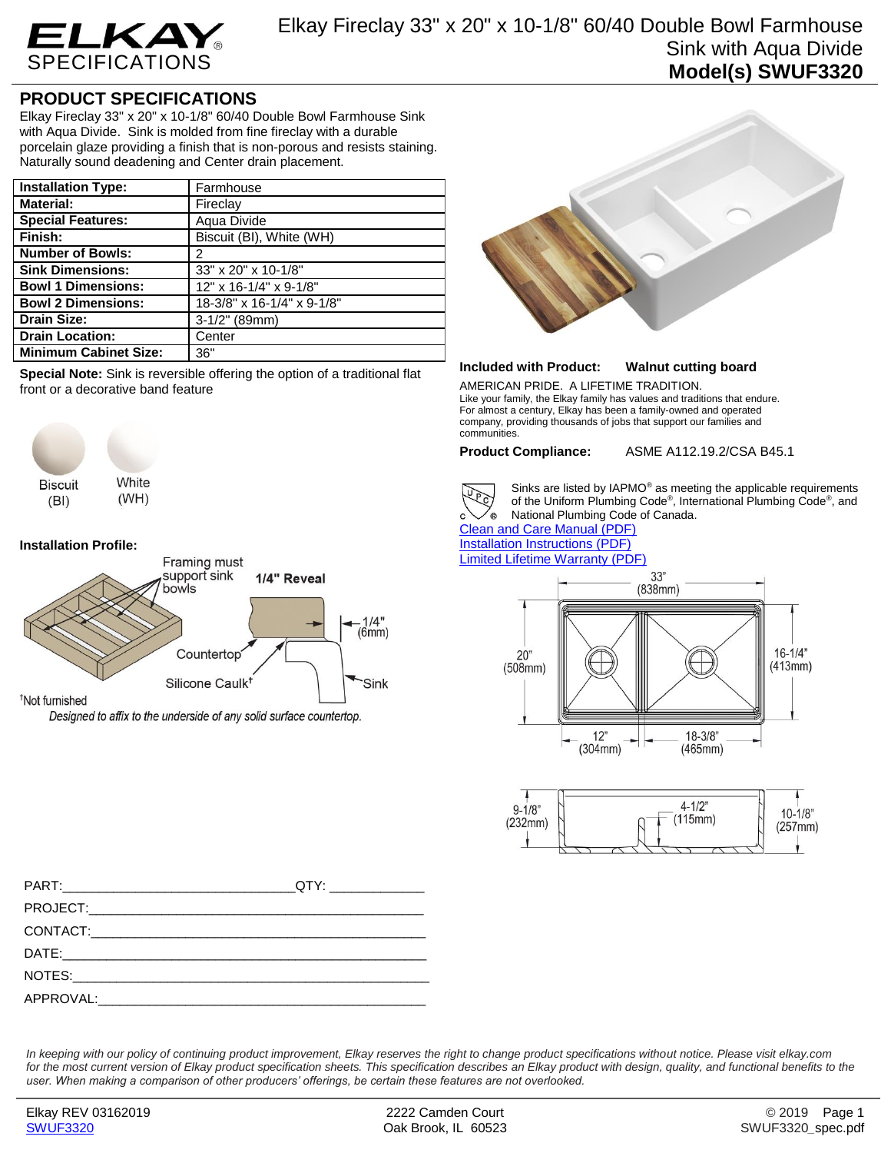

## **PRODUCT SPECIFICATIONS**

Elkay Fireclay 33" x 20" x 10-1/8" 60/40 Double Bowl Farmhouse Sink with Aqua Divide. Sink is molded from fine fireclay with a durable porcelain glaze providing a finish that is non-porous and resists staining. Naturally sound deadening and Center drain placement.

| <b>Installation Type:</b>    | Farmhouse                  |
|------------------------------|----------------------------|
| <b>Material:</b>             | Fireclay                   |
| <b>Special Features:</b>     | Aqua Divide                |
| Finish:                      | Biscuit (BI), White (WH)   |
| <b>Number of Bowls:</b>      | 2                          |
| <b>Sink Dimensions:</b>      | 33" x 20" x 10-1/8"        |
| <b>Bowl 1 Dimensions:</b>    | 12" x 16-1/4" x 9-1/8"     |
| <b>Bowl 2 Dimensions:</b>    | 18-3/8" x 16-1/4" x 9-1/8" |
| <b>Drain Size:</b>           | $3-1/2"$ (89mm)            |
| <b>Drain Location:</b>       | Center                     |
| <b>Minimum Cabinet Size:</b> | 36"                        |

**Special Note:** Sink is reversible offering the option of a traditional flat front or a decorative band feature



## **Installation Profile:**



Designed to affix to the underside of any solid surface countertop.



## **Included with Product: Walnut cutting board**

AMERICAN PRIDE. A LIFETIME TRADITION. Like your family, the Elkay family has values and traditions that endure. For almost a century, Elkay has been a family-owned and operated company, providing thousands of jobs that support our families and communities.

**Product Compliance:** ASME A112.19.2/CSA B45.1



Sinks are listed by IAPMO® as meeting the applicable requirements of the Uniform Plumbing Code® , International Plumbing Code® , and National Plumbing Code of Canada.

[Clean and Care Manual \(PDF\)](http://www.elkay.com/wcsstore/lkdocs/care-cleaning-install-warranty-sheets/residential%20and%20commercial%20care%20%20cleaning.pdf) [Installation Instructions \(PDF\)](http://www.elkay.com/wcsstore/lkdocs/care-cleaning-install-warranty-sheets/1000003608.pdf) [Limited Lifetime Warranty](http://www.elkay.com/wcsstore/lkdocs/care-cleaning-install-warranty-sheets/residential%20sinks%20warranty.pdf) (PDF)





*In keeping with our policy of continuing product improvement, Elkay reserves the right to change product specifications without notice. Please visit elkay.com*  for the most current version of Elkay product specification sheets. This specification describes an Elkay product with design, quality, and functional benefits to the *user. When making a comparison of other producers' offerings, be certain these features are not overlooked.*